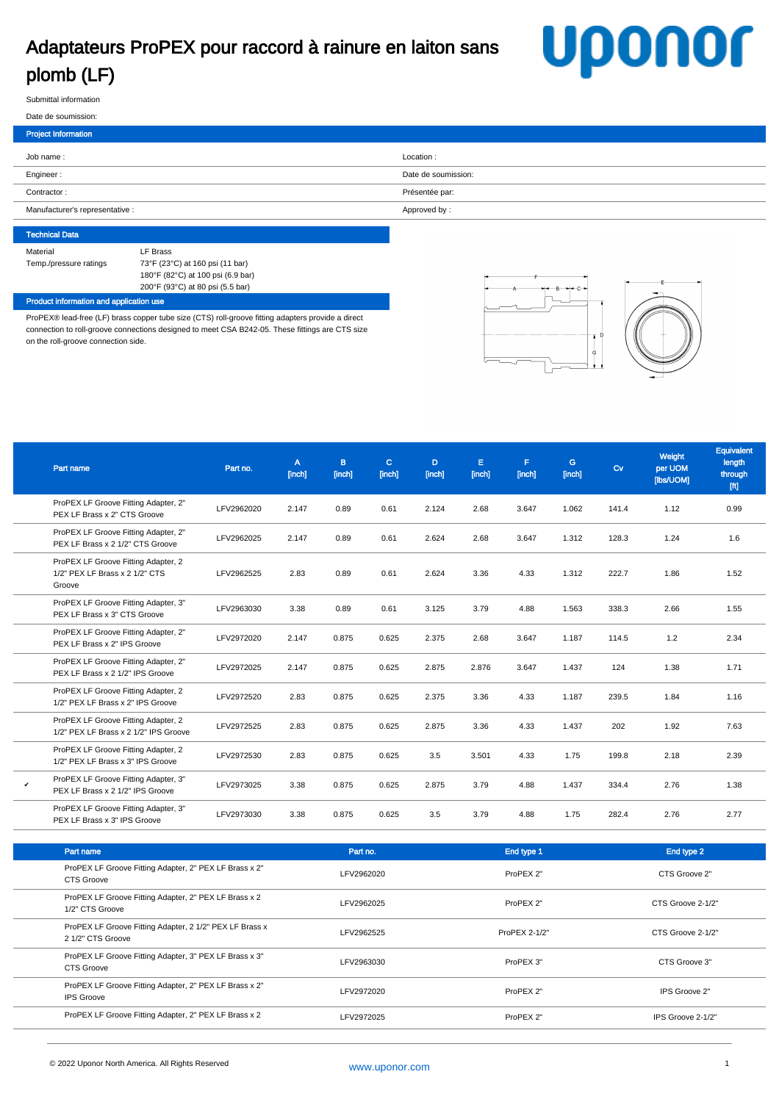# Adaptateurs ProPEX pour raccord à rainure en laiton sans plomb (LF)

# **Uponor**

Submittal information

#### Date de soumission:

| <b>Project Information</b>      |                     |
|---------------------------------|---------------------|
| Job name:                       | Location:           |
| Engineer:                       | Date de soumission: |
| Contractor:                     | Présentée par:      |
| Manufacturer's representative : | Approved by:        |
|                                 |                     |

## Technical Data Material LF Brass Temp./pressure ratings 73°F (23°C) at 160 psi (11 bar) 180°F (82°C) at 100 psi (6.9 bar) 200°F (93°C) at 80 psi (5.5 bar)

### Product information and application use

ProPEX® lead-free (LF) brass copper tube size (CTS) roll-groove fitting adapters provide a direct connection to roll-groove connections designed to meet CSA B242-05. These fittings are CTS size on the roll-groove connection side.



| Part name |                                                                              | Part no.   | A<br>[inch] | <b>B</b><br>[inch] | C.<br>[inch] | D.<br>[inch] | Е<br>[inch] | F.<br>[inch] | G<br>[inch] | $\alpha$ | Weight<br>per UOM<br>[lbs/UOM] | Equivalent<br>length<br>through<br>[ft] |
|-----------|------------------------------------------------------------------------------|------------|-------------|--------------------|--------------|--------------|-------------|--------------|-------------|----------|--------------------------------|-----------------------------------------|
|           | ProPEX LF Groove Fitting Adapter, 2"<br>PEX LF Brass x 2" CTS Groove         | LFV2962020 | 2.147       | 0.89               | 0.61         | 2.124        | 2.68        | 3.647        | 1.062       | 141.4    | 1.12                           | 0.99                                    |
|           | ProPEX LF Groove Fitting Adapter, 2"<br>PEX LF Brass x 2 1/2" CTS Groove     | LFV2962025 | 2.147       | 0.89               | 0.61         | 2.624        | 2.68        | 3.647        | 1.312       | 128.3    | 1.24                           | 1.6                                     |
| Groove    | ProPEX LF Groove Fitting Adapter, 2<br>1/2" PEX LF Brass x 2 1/2" CTS        | LFV2962525 | 2.83        | 0.89               | 0.61         | 2.624        | 3.36        | 4.33         | 1.312       | 222.7    | 1.86                           | 1.52                                    |
|           | ProPEX LF Groove Fitting Adapter, 3"<br>PEX LF Brass x 3" CTS Groove         | LFV2963030 | 3.38        | 0.89               | 0.61         | 3.125        | 3.79        | 4.88         | 1.563       | 338.3    | 2.66                           | 1.55                                    |
|           | ProPEX LF Groove Fitting Adapter, 2"<br>PEX LF Brass x 2" IPS Groove         | LFV2972020 | 2.147       | 0.875              | 0.625        | 2.375        | 2.68        | 3.647        | 1.187       | 114.5    | 1.2                            | 2.34                                    |
|           | ProPEX LF Groove Fitting Adapter, 2"<br>PEX LF Brass x 2 1/2" IPS Groove     | LFV2972025 | 2.147       | 0.875              | 0.625        | 2.875        | 2.876       | 3.647        | 1.437       | 124      | 1.38                           | 1.71                                    |
|           | ProPEX LF Groove Fitting Adapter, 2<br>1/2" PEX LF Brass x 2" IPS Groove     | LFV2972520 | 2.83        | 0.875              | 0.625        | 2.375        | 3.36        | 4.33         | 1.187       | 239.5    | 1.84                           | 1.16                                    |
|           | ProPEX LF Groove Fitting Adapter, 2<br>1/2" PEX LF Brass x 2 1/2" IPS Groove | LFV2972525 | 2.83        | 0.875              | 0.625        | 2.875        | 3.36        | 4.33         | 1.437       | 202      | 1.92                           | 7.63                                    |
|           | ProPEX LF Groove Fitting Adapter, 2<br>1/2" PEX LF Brass x 3" IPS Groove     | LFV2972530 | 2.83        | 0.875              | 0.625        | 3.5          | 3.501       | 4.33         | 1.75        | 199.8    | 2.18                           | 2.39                                    |
| v         | ProPEX LF Groove Fitting Adapter, 3"<br>PEX LF Brass x 2 1/2" IPS Groove     | LFV2973025 | 3.38        | 0.875              | 0.625        | 2.875        | 3.79        | 4.88         | 1.437       | 334.4    | 2.76                           | 1.38                                    |
|           | ProPEX LF Groove Fitting Adapter, 3"<br>PEX LF Brass x 3" IPS Groove         | LFV2973030 | 3.38        | 0.875              | 0.625        | 3.5          | 3.79        | 4.88         | 1.75        | 282.4    | 2.76                           | 2.77                                    |

| Part name                                                                    | Part no.   | End type 1    | End type 2        |
|------------------------------------------------------------------------------|------------|---------------|-------------------|
| ProPEX LF Groove Fitting Adapter, 2" PEX LF Brass x 2"<br>CTS Groove         | LFV2962020 | ProPEX 2"     | CTS Groove 2"     |
| ProPEX LF Groove Fitting Adapter, 2" PEX LF Brass x 2<br>1/2" CTS Groove     | LFV2962025 | ProPEX 2"     | CTS Groove 2-1/2" |
| ProPEX LF Groove Fitting Adapter, 2 1/2" PEX LF Brass x<br>2 1/2" CTS Groove | LFV2962525 | ProPEX 2-1/2" | CTS Groove 2-1/2" |
| ProPEX LF Groove Fitting Adapter, 3" PEX LF Brass x 3"<br><b>CTS Groove</b>  | LFV2963030 | ProPEX 3"     | CTS Groove 3"     |
| ProPEX LF Groove Fitting Adapter, 2" PEX LF Brass x 2"<br><b>IPS Groove</b>  | LFV2972020 | ProPEX 2"     | IPS Groove 2"     |
| ProPEX LF Groove Fitting Adapter, 2" PEX LF Brass x 2                        | LFV2972025 | ProPEX 2"     | IPS Groove 2-1/2" |
|                                                                              |            |               |                   |